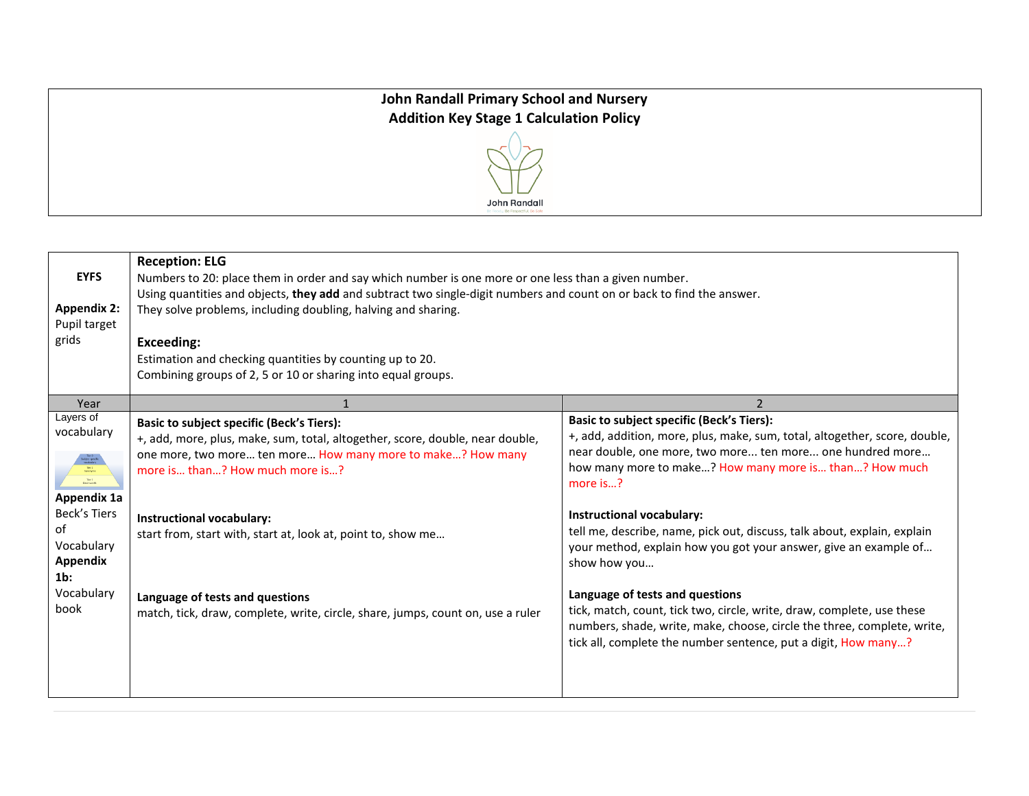## **John Randall Primary School and Nursery Addition Key Stage 1 Calculation Policy**



| <b>EYFS</b><br><b>Appendix 2:</b><br>Pupil target<br>grids                                                                                                                  | <b>Reception: ELG</b><br>Numbers to 20: place them in order and say which number is one more or one less than a given number.<br>Using quantities and objects, they add and subtract two single-digit numbers and count on or back to find the answer.<br>They solve problems, including doubling, halving and sharing.<br><b>Exceeding:</b><br>Estimation and checking quantities by counting up to 20.<br>Combining groups of 2, 5 or 10 or sharing into equal groups. |                                                                                                                                                                                                                                                                                                                                                                                                                                                                                                                                                                                                                                                        |
|-----------------------------------------------------------------------------------------------------------------------------------------------------------------------------|--------------------------------------------------------------------------------------------------------------------------------------------------------------------------------------------------------------------------------------------------------------------------------------------------------------------------------------------------------------------------------------------------------------------------------------------------------------------------|--------------------------------------------------------------------------------------------------------------------------------------------------------------------------------------------------------------------------------------------------------------------------------------------------------------------------------------------------------------------------------------------------------------------------------------------------------------------------------------------------------------------------------------------------------------------------------------------------------------------------------------------------------|
| Year                                                                                                                                                                        |                                                                                                                                                                                                                                                                                                                                                                                                                                                                          |                                                                                                                                                                                                                                                                                                                                                                                                                                                                                                                                                                                                                                                        |
| Layers of<br>vocabulary<br>$\frac{\text{Tor 3}}{\text{flasic words}}$<br>Appendix 1a<br><b>Beck's Tiers</b><br>of<br>Vocabulary<br>Appendix<br>$1b$ :<br>Vocabulary<br>book | <b>Basic to subject specific (Beck's Tiers):</b><br>+, add, more, plus, make, sum, total, altogether, score, double, near double,<br>one more, two more ten more How many more to make? How many<br>more is than? How much more is?<br><b>Instructional vocabulary:</b><br>start from, start with, start at, look at, point to, show me<br>Language of tests and questions<br>match, tick, draw, complete, write, circle, share, jumps, count on, use a ruler            | <b>Basic to subject specific (Beck's Tiers):</b><br>+, add, addition, more, plus, make, sum, total, altogether, score, double,<br>near double, one more, two more ten more one hundred more<br>how many more to make? How many more is than? How much<br>more is?<br>Instructional vocabulary:<br>tell me, describe, name, pick out, discuss, talk about, explain, explain<br>your method, explain how you got your answer, give an example of<br>show how you<br>Language of tests and questions<br>tick, match, count, tick two, circle, write, draw, complete, use these<br>numbers, shade, write, make, choose, circle the three, complete, write, |
|                                                                                                                                                                             |                                                                                                                                                                                                                                                                                                                                                                                                                                                                          | tick all, complete the number sentence, put a digit, How many?                                                                                                                                                                                                                                                                                                                                                                                                                                                                                                                                                                                         |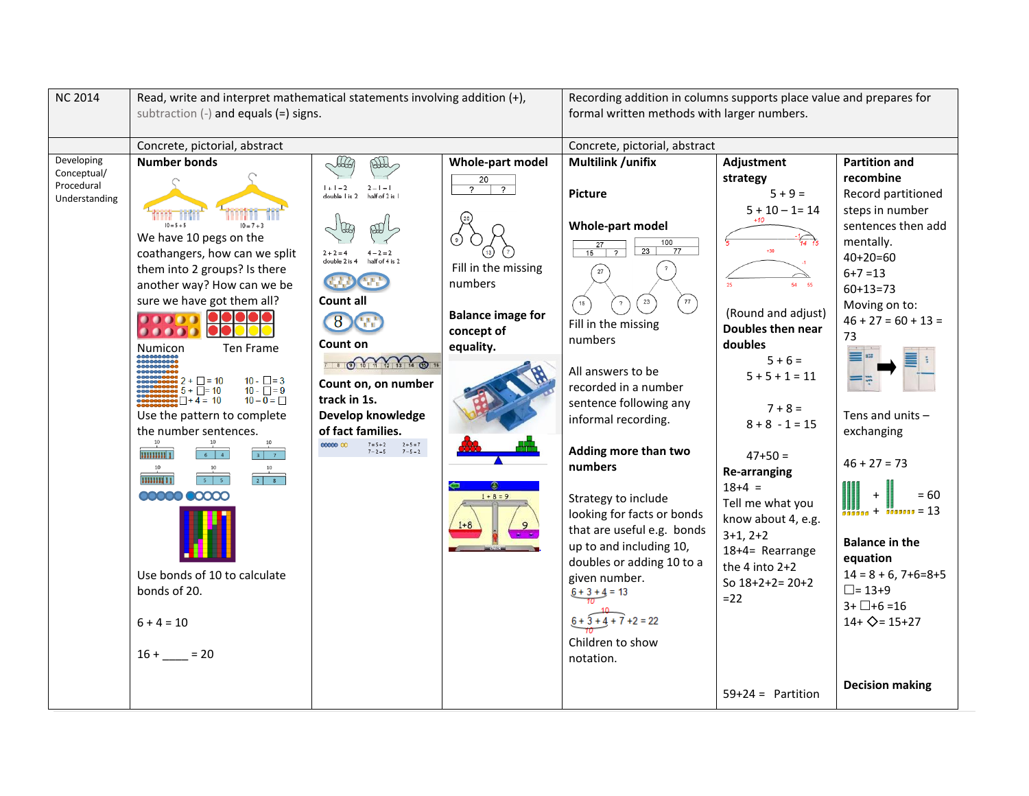| <b>NC 2014</b>              | Read, write and interpret mathematical statements involving addition (+),<br>subtraction $(-)$ and equals $(=)$ signs. |                                                                                           |                                  | Recording addition in columns supports place value and prepares for<br>formal written methods with larger numbers. |                              |                               |  |
|-----------------------------|------------------------------------------------------------------------------------------------------------------------|-------------------------------------------------------------------------------------------|----------------------------------|--------------------------------------------------------------------------------------------------------------------|------------------------------|-------------------------------|--|
|                             | Concrete, pictorial, abstract                                                                                          |                                                                                           |                                  | Concrete, pictorial, abstract                                                                                      |                              |                               |  |
| Developing                  | <b>Number bonds</b>                                                                                                    | AA<br>AHA                                                                                 | Whole-part model                 | <b>Multilink /unifix</b>                                                                                           | Adjustment                   | <b>Partition and</b>          |  |
| Conceptual/                 |                                                                                                                        |                                                                                           | $\overline{20}$                  |                                                                                                                    | strategy                     | recombine                     |  |
| Procedural<br>Understanding |                                                                                                                        | $1 + 1 = 2$<br>$2 - 1 = 1$<br>double I is 2<br>half of 2 is                               | $\overline{2}$<br>$\overline{?}$ | <b>Picture</b>                                                                                                     | $5 + 9 =$                    | Record partitioned            |  |
|                             |                                                                                                                        |                                                                                           |                                  |                                                                                                                    | $5 + 10 - 1 = 14$            | steps in number               |  |
|                             | $10 = 5 + 5$<br>$10 = 7 + 3$                                                                                           |                                                                                           |                                  | Whole-part model                                                                                                   | $+10$                        | sentences then add            |  |
|                             | We have 10 pegs on the                                                                                                 |                                                                                           |                                  | 100<br>$\overline{27}$                                                                                             |                              | mentally.                     |  |
|                             | coathangers, how can we split                                                                                          | double 2 is 4                                                                             |                                  | 23<br>77<br>15<br>$\gamma$                                                                                         |                              | $40+20=60$                    |  |
|                             | them into 2 groups? Is there                                                                                           |                                                                                           | Fill in the missing              |                                                                                                                    |                              | $6 + 7 = 13$                  |  |
|                             | another way? How can we be                                                                                             |                                                                                           | numbers                          |                                                                                                                    |                              | $60+13=73$                    |  |
|                             | sure we have got them all?                                                                                             | Count all                                                                                 |                                  | $23\,$<br>77<br>$\left( \begin{array}{c} 15 \end{array} \right)$                                                   |                              | Moving on to:                 |  |
|                             | 00000                                                                                                                  | 8                                                                                         | <b>Balance image for</b>         | Fill in the missing                                                                                                | (Round and adjust)           | $46 + 27 = 60 + 13 =$         |  |
|                             | 00000                                                                                                                  |                                                                                           | concept of                       | numbers                                                                                                            | Doubles then near            | 73                            |  |
|                             | Ten Frame<br><b>Numicon</b>                                                                                            | Count on                                                                                  | equality.                        |                                                                                                                    | doubles<br>$5 + 6 =$         |                               |  |
|                             |                                                                                                                        | 7 8 0 10 11 12 13 14 19 16<br>$10 - \square = 3$<br>Count on, on number                   |                                  | All answers to be                                                                                                  |                              |                               |  |
|                             | $\frac{100}{100}$ 2 + $\Box$ = 10<br>$\frac{1}{2}$ 5 + $\Box$ = 10<br>$10 - \bar{1} = 9$                               |                                                                                           |                                  | recorded in a number                                                                                               | $5 + 5 + 1 = 11$             |                               |  |
|                             | $\frac{1}{20000}$ $\sqrt{1+4}$ = 10<br>$10 - \overline{0} = \square$                                                   | track in 1s.                                                                              |                                  | sentence following any                                                                                             |                              |                               |  |
|                             | Use the pattern to complete                                                                                            | Develop knowledge                                                                         |                                  | informal recording.                                                                                                | $7 + 8 =$                    | Tens and units $-$            |  |
|                             | the number sentences.                                                                                                  | of fact families.<br>$2 + 5 = 7$<br>00000000<br>$7 = 5 + 2$<br>$7 - 2 = 5$<br>$7 - 5 = 2$ | $1 + 8 = 9$                      |                                                                                                                    | $8 + 8 - 1 = 15$             | exchanging                    |  |
|                             |                                                                                                                        |                                                                                           |                                  | Adding more than two                                                                                               |                              |                               |  |
|                             | <b>HIIIIIII</b> I<br>$6 \mid 4$<br>$3 \mid 7$<br>10                                                                    |                                                                                           |                                  | numbers                                                                                                            | $47+50=$                     | $46 + 27 = 73$                |  |
|                             | $\frac{1}{2}$ 8<br>555<br>11111111 11                                                                                  |                                                                                           |                                  |                                                                                                                    | <b>Re-arranging</b>          |                               |  |
|                             | <b>00000 00000</b>                                                                                                     |                                                                                           |                                  | Strategy to include<br>looking for facts or bonds                                                                  | $18+4 =$<br>Tell me what you | $= 60$                        |  |
|                             |                                                                                                                        |                                                                                           |                                  |                                                                                                                    |                              | $+$ $\frac{1}{2000000} = 13$  |  |
|                             |                                                                                                                        |                                                                                           |                                  | that are useful e.g. bonds                                                                                         | know about 4, e.g.           |                               |  |
|                             |                                                                                                                        |                                                                                           |                                  | up to and including 10,                                                                                            | $3+1, 2+2$                   | <b>Balance in the</b>         |  |
|                             |                                                                                                                        |                                                                                           |                                  | doubles or adding 10 to a                                                                                          | 18+4= Rearrange              | equation                      |  |
|                             | Use bonds of 10 to calculate                                                                                           |                                                                                           |                                  | given number.                                                                                                      | the 4 into $2+2$             | $14 = 8 + 6$ , 7+6=8+5        |  |
|                             | bonds of 20.                                                                                                           |                                                                                           |                                  | $6 + 3 + 4 = 13$                                                                                                   | So $18+2+2=20+2$             | $\Box$ = 13+9                 |  |
|                             |                                                                                                                        |                                                                                           |                                  |                                                                                                                    | $=22$                        | $3 + \Box + 6 = 16$           |  |
|                             | $6 + 4 = 10$                                                                                                           |                                                                                           |                                  | $6 + 3 + 4 + 7 + 2 = 22$                                                                                           |                              | $14 + \diamondsuit = 15 + 27$ |  |
|                             |                                                                                                                        |                                                                                           |                                  |                                                                                                                    |                              |                               |  |
|                             | $16 + 20$                                                                                                              |                                                                                           |                                  | Children to show                                                                                                   |                              |                               |  |
|                             |                                                                                                                        |                                                                                           |                                  | notation.                                                                                                          |                              |                               |  |
|                             |                                                                                                                        |                                                                                           |                                  |                                                                                                                    | $59+24 =$ Partition          | <b>Decision making</b>        |  |